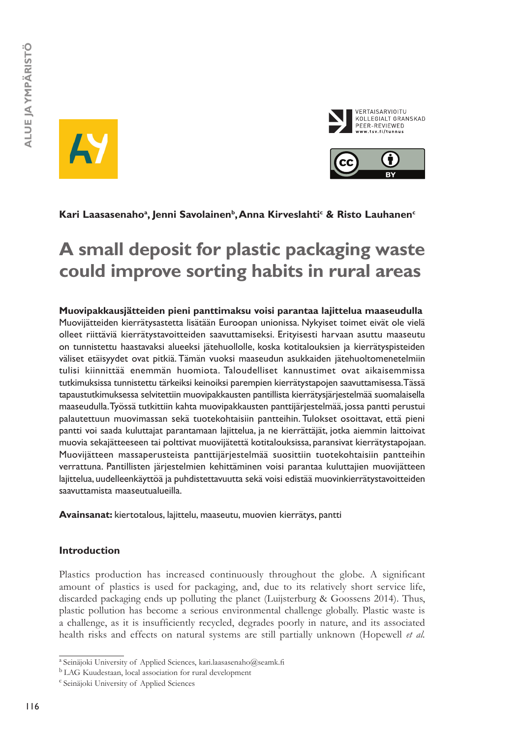





# Kari Laasasenaho<sup>a</sup>, Jenni Savolainen<sup>b</sup>, Anna Kirveslahti<sup>c</sup> & Risto Lauhanen<sup>c</sup>

# **A small deposit for plastic packaging waste could improve sorting habits in rural areas**

### **Muovipakkausjätteiden pieni panttimaksu voisi parantaa lajittelua maaseudulla** Muovijätteiden kierrätysastetta lisätään Euroopan unionissa. Nykyiset toimet eivät ole vielä olleet riittäviä kierrätystavoitteiden saavuttamiseksi. Erityisesti harvaan asuttu maaseutu on tunnistettu haastavaksi alueeksi jätehuollolle, koska kotitalouksien ja kierrätyspisteiden väliset etäisyydet ovat pitkiä. Tämän vuoksi maaseudun asukkaiden jätehuoltomenetelmiin tulisi kiinnittää enemmän huomiota. Taloudelliset kannustimet ovat aikaisemmissa tutkimuksissa tunnistettu tärkeiksi keinoiksi parempien kierrätystapojen saavuttamisessa. Tässä tapaustutkimuksessa selvitettiin muovipakkausten pantillista kierrätysjärjestelmää suomalaisella maaseudulla. Työssä tutkittiin kahta muovipakkausten panttijärjestelmää, jossa pantti perustui palautettuun muovimassan sekä tuotekohtaisiin pantteihin. Tulokset osoittavat, että pieni pantti voi saada kuluttajat parantamaan lajittelua, ja ne kierrättäjät, jotka aiemmin laittoivat muovia sekajätteeseen tai polttivat muovijätettä kotitalouksissa, paransivat kierrätystapojaan. Muovijätteen massaperusteista panttijärjestelmää suosittiin tuotekohtaisiin pantteihin verrattuna. Pantillisten järjestelmien kehittäminen voisi parantaa kuluttajien muovijätteen lajittelua, uudelleenkäyttöä ja puhdistettavuutta sekä voisi edistää muovinkierrätystavoitteiden saavuttamista maaseutualueilla.

**Avainsanat:** kiertotalous, lajittelu, maaseutu, muovien kierrätys, pantti

# **Introduction**

Plastics production has increased continuously throughout the globe. A significant amount of plastics is used for packaging, and, due to its relatively short service life, discarded packaging ends up polluting the planet (Luijsterburg & Goossens 2014). Thus, plastic pollution has become a serious environmental challenge globally. Plastic waste is a challenge, as it is insufficiently recycled, degrades poorly in nature, and its associated health risks and effects on natural systems are still partially unknown (Hopewell *et al.*

a Seinäjoki University of Applied Sciences, [kari.laasasenaho@seamk.fi](mailto:kari.laasasenaho@seamk.fi)

b LAG Kuudestaan, local association for rural development

c Seinäjoki University of Applied Sciences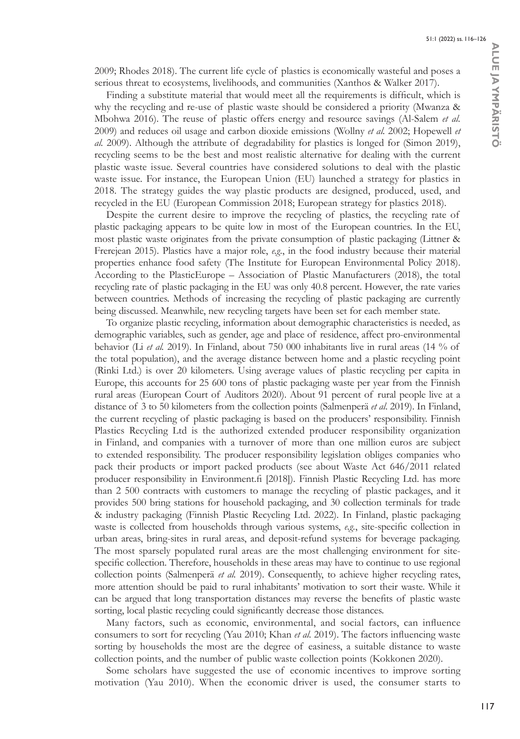2009; Rhodes 2018). The current life cycle of plastics is economically wasteful and poses a serious threat to ecosystems, livelihoods, and communities (Xanthos & Walker 2017).

Finding a substitute material that would meet all the requirements is difficult, which is why the recycling and re-use of plastic waste should be considered a priority (Mwanza & Mbohwa 2016). The reuse of plastic offers energy and resource savings (Al-Salem *et al.* 2009) and reduces oil usage and carbon dioxide emissions (Wollny *et al.* 2002; Hopewell *et al.* 2009). Although the attribute of degradability for plastics is longed for (Simon 2019), recycling seems to be the best and most realistic alternative for dealing with the current plastic waste issue. Several countries have considered solutions to deal with the plastic waste issue. For instance, the European Union (EU) launched a strategy for plastics in 2018. The strategy guides the way plastic products are designed, produced, used, and recycled in the EU (European Commission 2018; European strategy for plastics 2018).

Despite the current desire to improve the recycling of plastics, the recycling rate of plastic packaging appears to be quite low in most of the European countries. In the EU, most plastic waste originates from the private consumption of plastic packaging (Littner & Frerejean 2015). Plastics have a major role, *e.g.*, in the food industry because their material properties enhance food safety (The Institute for European Environmental Policy 2018). According to the PlasticEurope – Association of Plastic Manufacturers (2018), the total recycling rate of plastic packaging in the EU was only 40.8 percent. However, the rate varies between countries. Methods of increasing the recycling of plastic packaging are currently being discussed. Meanwhile, new recycling targets have been set for each member state.

To organize plastic recycling, information about demographic characteristics is needed, as demographic variables, such as gender, age and place of residence, affect pro-environmental behavior (Li *et al.* 2019). In Finland, about 750 000 inhabitants live in rural areas (14 % of the total population), and the average distance between home and a plastic recycling point (Rinki Ltd.) is over 20 kilometers. Using average values of plastic recycling per capita in Europe, this accounts for 25 600 tons of plastic packaging waste per year from the Finnish rural areas (European Court of Auditors 2020). About 91 percent of rural people live at a distance of 3 to 50 kilometers from the collection points (Salmenperä *et al*. 2019). In Finland, the current recycling of plastic packaging is based on the producers' responsibility. Finnish Plastics Recycling Ltd is the authorized extended producer responsibility organization in Finland, and companies with a turnover of more than one million euros are subject to extended responsibility. The producer responsibility legislation obliges companies who pack their products or import packed products (see about Waste Act 646/2011 related producer responsibility in [Environment.fi](http://Environment.fi) [2018]). Finnish Plastic Recycling Ltd. has more than 2 500 contracts with customers to manage the recycling of plastic packages, and it provides 500 bring stations for household packaging, and 30 collection terminals for trade & industry packaging (Finnish Plastic Recycling Ltd. 2022). In Finland, plastic packaging waste is collected from households through various systems, *e.g.*, site-specific collection in urban areas, bring-sites in rural areas, and deposit-refund systems for beverage packaging. The most sparsely populated rural areas are the most challenging environment for sitespecific collection. Therefore, households in these areas may have to continue to use regional collection points (Salmenperä *et al.* 2019). Consequently, to achieve higher recycling rates, more attention should be paid to rural inhabitants' motivation to sort their waste. While it can be argued that long transportation distances may reverse the benefits of plastic waste sorting, local plastic recycling could significantly decrease those distances.

Many factors, such as economic, environmental, and social factors, can influence consumers to sort for recycling (Yau 2010; Khan *et al.* 2019). The factors influencing waste sorting by households the most are the degree of easiness, a suitable distance to waste collection points, and the number of public waste collection points (Kokkonen 2020).

Some scholars have suggested the use of economic incentives to improve sorting motivation (Yau 2010). When the economic driver is used, the consumer starts to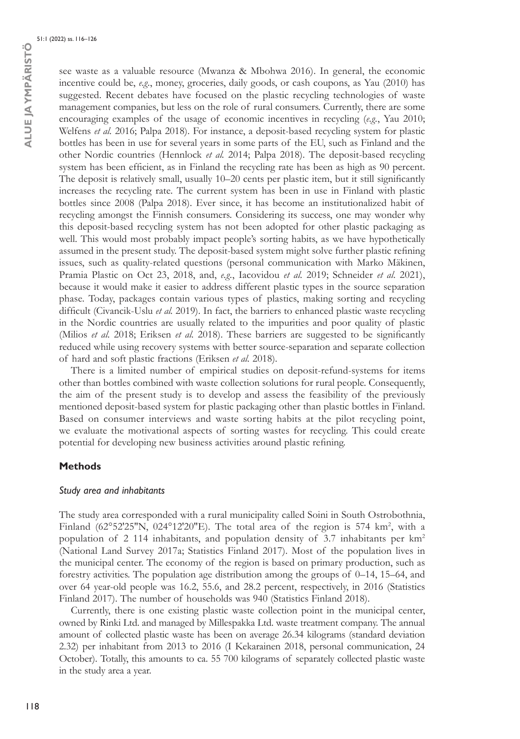see waste as a valuable resource (Mwanza & Mbohwa 2016). In general, the economic incentive could be, *e.g.*, money, groceries, daily goods, or cash coupons, as Yau (2010) has suggested. Recent debates have focused on the plastic recycling technologies of waste management companies, but less on the role of rural consumers. Currently, there are some encouraging examples of the usage of economic incentives in recycling (*e.g.*, Yau 2010; Welfens *et al.* 2016; Palpa 2018). For instance, a deposit-based recycling system for plastic bottles has been in use for several years in some parts of the EU, such as Finland and the other Nordic countries (Hennlock *et al.* 2014; Palpa 2018). The deposit-based recycling system has been efficient, as in Finland the recycling rate has been as high as 90 percent. The deposit is relatively small, usually 10–20 cents per plastic item, but it still significantly increases the recycling rate. The current system has been in use in Finland with plastic bottles since 2008 (Palpa 2018). Ever since, it has become an institutionalized habit of recycling amongst the Finnish consumers. Considering its success, one may wonder why this deposit-based recycling system has not been adopted for other plastic packaging as well. This would most probably impact people's sorting habits, as we have hypothetically assumed in the present study. The deposit-based system might solve further plastic refining issues, such as quality-related questions (personal communication with Marko Mäkinen, Pramia Plastic on Oct 23, 2018, and, *e.g.*, Iacovidou *et al.* 2019; Schneider *et al.* 2021), because it would make it easier to address different plastic types in the source separation phase. Today, packages contain various types of plastics, making sorting and recycling difficult (Civancik-Uslu *et al.* 2019). In fact, the barriers to enhanced plastic waste recycling in the Nordic countries are usually related to the impurities and poor quality of plastic (Milios *et al.* 2018; Eriksen *et al.* 2018). These barriers are suggested to be significantly reduced while using recovery systems with better source-separation and separate collection of hard and soft plastic fractions (Eriksen *et al.* 2018).

There is a limited number of empirical studies on deposit-refund-systems for items other than bottles combined with waste collection solutions for rural people. Consequently, the aim of the present study is to develop and assess the feasibility of the previously mentioned deposit-based system for plastic packaging other than plastic bottles in Finland. Based on consumer interviews and waste sorting habits at the pilot recycling point, we evaluate the motivational aspects of sorting wastes for recycling. This could create potential for developing new business activities around plastic refining.

### **Methods**

### *Study area and inhabitants*

The study area corresponded with a rural municipality called Soini in South Ostrobothnia, Finland ( $62^{\circ}52'25''N$ ,  $024^{\circ}12'20''E$ ). The total area of the region is 574 km<sup>2</sup>, with a population of 2 114 inhabitants, and population density of 3.7 inhabitants per km2 (National Land Survey 2017a; Statistics Finland 2017). Most of the population lives in the municipal center. The economy of the region is based on primary production, such as forestry activities. The population age distribution among the groups of 0–14, 15–64, and over 64 year-old people was 16.2, 55.6, and 28.2 percent, respectively, in 2016 (Statistics Finland 2017). The number of households was 940 (Statistics Finland 2018).

Currently, there is one existing plastic waste collection point in the municipal center, owned by Rinki Ltd. and managed by Millespakka Ltd. waste treatment company. The annual amount of collected plastic waste has been on average 26.34 kilograms (standard deviation 2.32) per inhabitant from 2013 to 2016 (I Kekarainen 2018, personal communication, 24 October). Totally, this amounts to ca. 55 700 kilograms of separately collected plastic waste in the study area a year.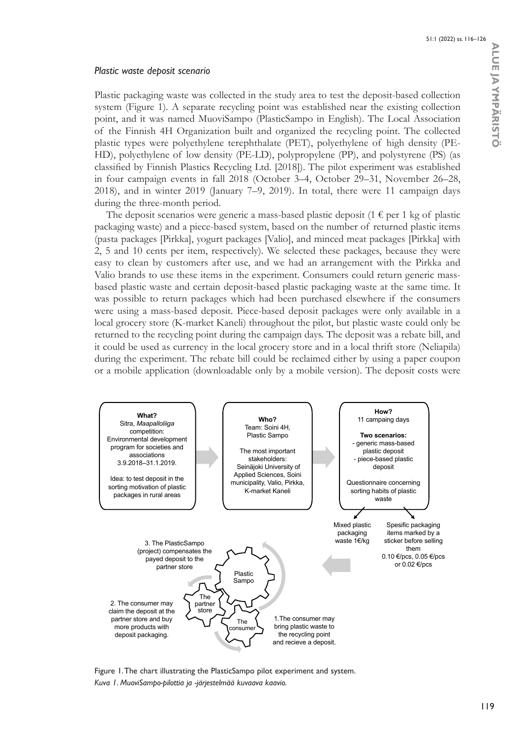# *Plastic waste deposit scenario*

Plastic packaging waste was collected in the study area to test the deposit-based collection system (Figure 1). A separate recycling point was established near the existing collection point, and it was named MuoviSampo (PlasticSampo in English). The Local Association of the Finnish 4H Organization built and organized the recycling point. The collected plastic types were polyethylene terephthalate (PET), polyethylene of high density (PE-HD), polyethylene of low density (PE-LD), polypropylene (PP), and polystyrene (PS) (as classified by Finnish Plastics Recycling Ltd. [2018]). The pilot experiment was established in four campaign events in fall 2018 (October 3–4, October 29–31, November 26–28, 2018), and in winter 2019 (January 7–9, 2019). In total, there were 11 campaign days during the three-month period.

The deposit scenarios were generic a mass-based plastic deposit (1  $\epsilon$  per 1 kg of plastic packaging waste) and a piece-based system, based on the number of returned plastic items (pasta packages [Pirkka], yogurt packages [Valio], and minced meat packages [Pirkka] with 2, 5 and 10 cents per item, respectively). We selected these packages, because they were easy to clean by customers after use, and we had an arrangement with the Pirkka and Valio brands to use these items in the experiment. Consumers could return generic massbased plastic waste and certain deposit-based plastic packaging waste at the same time. It was possible to return packages which had been purchased elsewhere if the consumers were using a mass-based deposit. Piece-based deposit packages were only available in a local grocery store (K-market Kaneli) throughout the pilot, but plastic waste could only be returned to the recycling point during the campaign days. The deposit was a rebate bill, and it could be used as currency in the local grocery store and in a local thrift store (Neliapila) during the experiment. The rebate bill could be reclaimed either by using a paper coupon or a mobile application (downloadable only by a mobile version). The deposit costs were



Figure 1. The chart illustrating the PlasticSampo pilot experiment and system. *Kuva 1. MuoviSampo-pilottia ja -järjestelmää kuvaava kaavio.*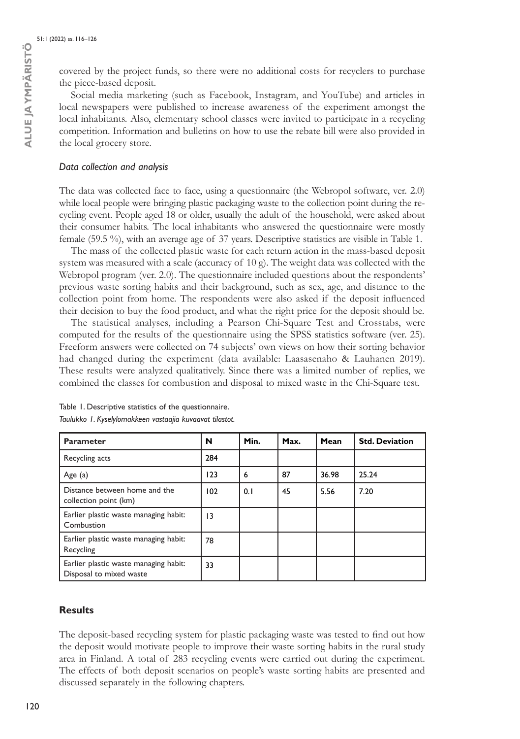covered by the project funds, so there were no additional costs for recyclers to purchase the piece-based deposit.

Social media marketing (such as Facebook, Instagram, and YouTube) and articles in local newspapers were published to increase awareness of the experiment amongst the local inhabitants. Also, elementary school classes were invited to participate in a recycling competition. Information and bulletins on how to use the rebate bill were also provided in the local grocery store.

### *Data collection and analysis*

The data was collected face to face, using a questionnaire (the Webropol software, ver. 2.0) while local people were bringing plastic packaging waste to the collection point during the recycling event. People aged 18 or older, usually the adult of the household, were asked about their consumer habits. The local inhabitants who answered the questionnaire were mostly female (59.5 %), with an average age of 37 years. Descriptive statistics are visible in Table 1.

The mass of the collected plastic waste for each return action in the mass-based deposit system was measured with a scale (accuracy of 10 g). The weight data was collected with the Webropol program (ver. 2.0). The questionnaire included questions about the respondents' previous waste sorting habits and their background, such as sex, age, and distance to the collection point from home. The respondents were also asked if the deposit influenced their decision to buy the food product, and what the right price for the deposit should be.

The statistical analyses, including a Pearson Chi-Square Test and Crosstabs, were computed for the results of the questionnaire using the SPSS statistics software (ver. 25). Freeform answers were collected on 74 subjects' own views on how their sorting behavior had changed during the experiment (data available: Laasasenaho & Lauhanen 2019). These results were analyzed qualitatively. Since there was a limited number of replies, we combined the classes for combustion and disposal to mixed waste in the Chi-Square test.

| <b>Parameter</b>                                                 | N               | Min. | Max. | Mean  | <b>Std. Deviation</b> |
|------------------------------------------------------------------|-----------------|------|------|-------|-----------------------|
| Recycling acts                                                   | 284             |      |      |       |                       |
| Age (a)                                                          | 123             | 6    | 87   | 36.98 | 25.24                 |
| Distance between home and the<br>collection point (km)           | 102             | 0.1  | 45   | 5.56  | 7.20                  |
| Earlier plastic waste managing habit:<br>Combustion              | $\overline{13}$ |      |      |       |                       |
| Earlier plastic waste managing habit:<br>Recycling               | 78              |      |      |       |                       |
| Earlier plastic waste managing habit:<br>Disposal to mixed waste | 33              |      |      |       |                       |

Table 1. Descriptive statistics of the questionnaire. *Taulukko 1. Kyselylomakkeen vastaajia kuvaavat tilastot.*

### **Results**

The deposit-based recycling system for plastic packaging waste was tested to find out how the deposit would motivate people to improve their waste sorting habits in the rural study area in Finland. A total of 283 recycling events were carried out during the experiment. The effects of both deposit scenarios on people's waste sorting habits are presented and discussed separately in the following chapters.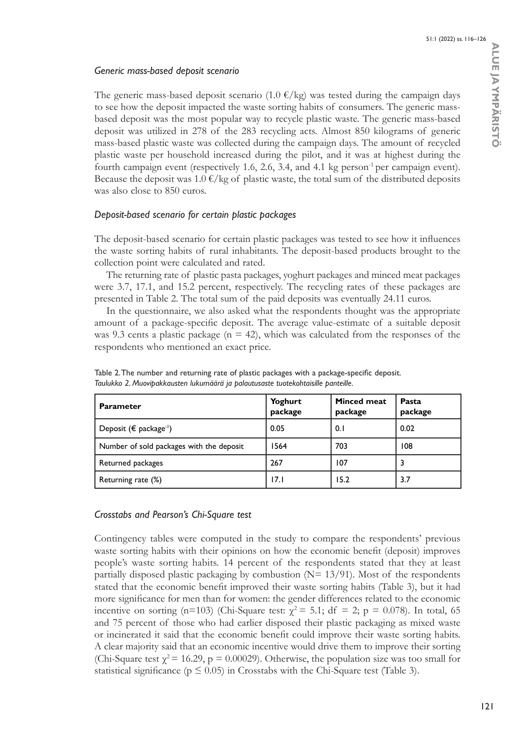# *Generic mass-based deposit scenario*

The generic mass-based deposit scenario  $(1.0 \epsilon / kg)$  was tested during the campaign days to see how the deposit impacted the waste sorting habits of consumers. The generic massbased deposit was the most popular way to recycle plastic waste. The generic mass-based deposit was utilized in 278 of the 283 recycling acts. Almost 850 kilograms of generic mass-based plastic waste was collected during the campaign days. The amount of recycled plastic waste per household increased during the pilot, and it was at highest during the fourth campaign event (respectively 1.6, 2.6, 3.4, and 4.1 kg person<sup>-1</sup> per campaign event). Because the deposit was  $1.0 \in \ell$  kg of plastic waste, the total sum of the distributed deposits was also close to 850 euros.

# *Deposit-based scenario for certain plastic packages*

The deposit-based scenario for certain plastic packages was tested to see how it influences the waste sorting habits of rural inhabitants. The deposit-based products brought to the collection point were calculated and rated.

The returning rate of plastic pasta packages, yoghurt packages and minced meat packages were 3.7, 17.1, and 15.2 percent, respectively. The recycling rates of these packages are presented in Table 2. The total sum of the paid deposits was eventually 24.11 euros.

In the questionnaire, we also asked what the respondents thought was the appropriate amount of a package-specific deposit. The average value-estimate of a suitable deposit was 9.3 cents a plastic package ( $n = 42$ ), which was calculated from the responses of the respondents who mentioned an exact price.

| <b>Parameter</b>                             | Yoghurt<br>package | <b>Minced meat</b><br>package | <b>Pasta</b><br>package |
|----------------------------------------------|--------------------|-------------------------------|-------------------------|
| Deposit ( $\epsilon$ package <sup>-1</sup> ) | 0.05               | 0.1                           | 0.02                    |
| Number of sold packages with the deposit     | 1564               | 703                           | 108                     |
| Returned packages                            | 267                | 107                           |                         |
| Returning rate (%)                           | 17.1               | 15.2                          | 3.7                     |

Table 2. The number and returning rate of plastic packages with a package-specific deposit. *Taulukko 2. Muovipakkausten lukumäärä ja palautusaste tuotekohtaisille panteille.*

# *Crosstabs and Pearson's Chi-Square test*

Contingency tables were computed in the study to compare the respondents' previous waste sorting habits with their opinions on how the economic benefit (deposit) improves people's waste sorting habits. 14 percent of the respondents stated that they at least partially disposed plastic packaging by combustion  $(N= 13/91)$ . Most of the respondents stated that the economic benefit improved their waste sorting habits (Table 3), but it had more significance for men than for women: the gender differences related to the economic incentive on sorting (n=103) (Chi-Square test:  $\chi^2$  = 5.1; df = 2; p = 0.078). In total, 65 and 75 percent of those who had earlier disposed their plastic packaging as mixed waste or incinerated it said that the economic benefit could improve their waste sorting habits. A clear majority said that an economic incentive would drive them to improve their sorting (Chi-Square test  $\chi^2$  = 16.29, p = 0.00029). Otherwise, the population size was too small for statistical significance ( $p \le 0.05$ ) in Crosstabs with the Chi-Square test (Table 3).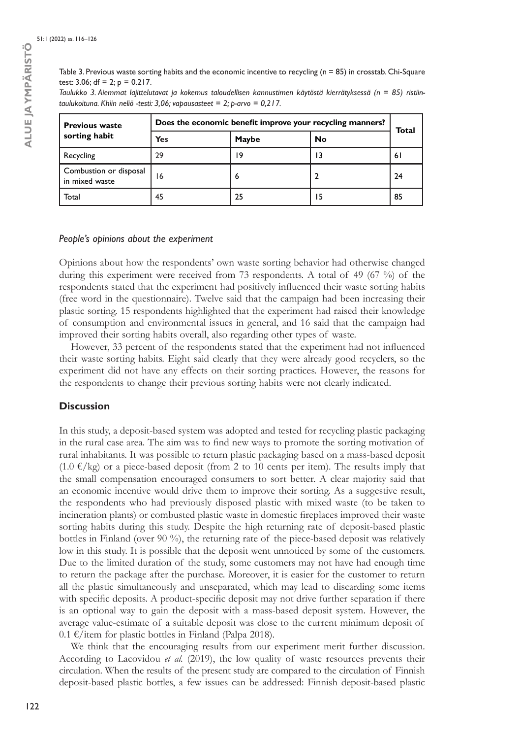Table 3. Previous waste sorting habits and the economic incentive to recycling (n = 85) in crosstab. Chi-Square test: 3.06; df = 2;  $p = 0.217$ .

|  | Taulukko 3. Aiemmat lajittelutavat ja kokemus taloudellisen kannustimen käytöstä kierrätyksessä (n = 85) ristiin- |  |  |  |  |
|--|-------------------------------------------------------------------------------------------------------------------|--|--|--|--|
|  | taulukoituna. Khiin neliö -testi: 3,06; vapausasteet = 2; p-arvo = 0,2 l 7.                                       |  |  |  |  |

| <b>Previous waste</b>                    | Does the economic benefit improve your recycling manners? |              |    |       |  |
|------------------------------------------|-----------------------------------------------------------|--------------|----|-------|--|
| sorting habit                            | Yes                                                       | <b>Maybe</b> | No | Total |  |
| Recycling                                | 29                                                        | ۱9           | 13 | 6 I   |  |
| Combustion or disposal<br>in mixed waste | 16                                                        | 6            |    | 24    |  |
| Total                                    | 45                                                        | 25           | 15 | 85    |  |

#### *People's opinions about the experiment*

Opinions about how the respondents' own waste sorting behavior had otherwise changed during this experiment were received from 73 respondents. A total of 49 (67 %) of the respondents stated that the experiment had positively influenced their waste sorting habits (free word in the questionnaire). Twelve said that the campaign had been increasing their plastic sorting. 15 respondents highlighted that the experiment had raised their knowledge of consumption and environmental issues in general, and 16 said that the campaign had improved their sorting habits overall, also regarding other types of waste.

However, 33 percent of the respondents stated that the experiment had not influenced their waste sorting habits. Eight said clearly that they were already good recyclers, so the experiment did not have any effects on their sorting practices. However, the reasons for the respondents to change their previous sorting habits were not clearly indicated.

### **Discussion**

In this study, a deposit-based system was adopted and tested for recycling plastic packaging in the rural case area. The aim was to find new ways to promote the sorting motivation of rural inhabitants. It was possible to return plastic packaging based on a mass-based deposit  $(1.0 \text{ } \epsilon/\text{kg})$  or a piece-based deposit (from 2 to 10 cents per item). The results imply that the small compensation encouraged consumers to sort better. A clear majority said that an economic incentive would drive them to improve their sorting. As a suggestive result, the respondents who had previously disposed plastic with mixed waste (to be taken to incineration plants) or combusted plastic waste in domestic fireplaces improved their waste sorting habits during this study. Despite the high returning rate of deposit-based plastic bottles in Finland (over 90 %), the returning rate of the piece-based deposit was relatively low in this study. It is possible that the deposit went unnoticed by some of the customers. Due to the limited duration of the study, some customers may not have had enough time to return the package after the purchase. Moreover, it is easier for the customer to return all the plastic simultaneously and unseparated, which may lead to discarding some items with specific deposits. A product-specific deposit may not drive further separation if there is an optional way to gain the deposit with a mass-based deposit system. However, the average value-estimate of a suitable deposit was close to the current minimum deposit of 0.1 €/item for plastic bottles in Finland (Palpa 2018).

We think that the encouraging results from our experiment merit further discussion. According to Lacovidou *et al.* (2019), the low quality of waste resources prevents their circulation. When the results of the present study are compared to the circulation of Finnish deposit-based plastic bottles, a few issues can be addressed: Finnish deposit-based plastic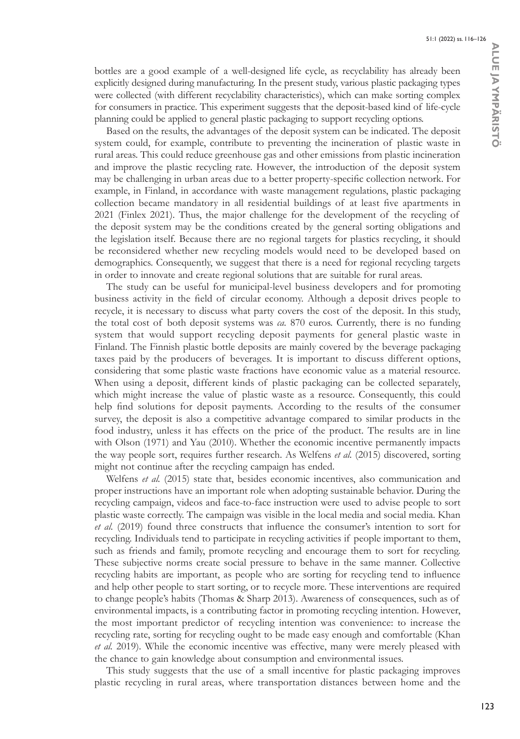bottles are a good example of a well-designed life cycle, as recyclability has already been explicitly designed during manufacturing. In the present study, various plastic packaging types were collected (with different recyclability characteristics), which can make sorting complex for consumers in practice. This experiment suggests that the deposit-based kind of life-cycle planning could be applied to general plastic packaging to support recycling options.

Based on the results, the advantages of the deposit system can be indicated. The deposit system could, for example, contribute to preventing the incineration of plastic waste in rural areas. This could reduce greenhouse gas and other emissions from plastic incineration and improve the plastic recycling rate. However, the introduction of the deposit system may be challenging in urban areas due to a better property-specific collection network. For example, in Finland, in accordance with waste management regulations, plastic packaging collection became mandatory in all residential buildings of at least five apartments in 2021 (Finlex 2021). Thus, the major challenge for the development of the recycling of the deposit system may be the conditions created by the general sorting obligations and the legislation itself. Because there are no regional targets for plastics recycling, it should be reconsidered whether new recycling models would need to be developed based on demographics. Consequently, we suggest that there is a need for regional recycling targets in order to innovate and create regional solutions that are suitable for rural areas.

The study can be useful for municipal-level business developers and for promoting business activity in the field of circular economy. Although a deposit drives people to recycle, it is necessary to discuss what party covers the cost of the deposit. In this study, the total cost of both deposit systems was *ca.* 870 euros. Currently, there is no funding system that would support recycling deposit payments for general plastic waste in Finland. The Finnish plastic bottle deposits are mainly covered by the beverage packaging taxes paid by the producers of beverages. It is important to discuss different options, considering that some plastic waste fractions have economic value as a material resource. When using a deposit, different kinds of plastic packaging can be collected separately, which might increase the value of plastic waste as a resource. Consequently, this could help find solutions for deposit payments. According to the results of the consumer survey, the deposit is also a competitive advantage compared to similar products in the food industry, unless it has effects on the price of the product. The results are in line with Olson (1971) and Yau (2010). Whether the economic incentive permanently impacts the way people sort, requires further research. As Welfens *et al.* (2015) discovered, sorting might not continue after the recycling campaign has ended.

Welfens *et al.* (2015) state that, besides economic incentives, also communication and proper instructions have an important role when adopting sustainable behavior. During the recycling campaign, videos and face-to-face instruction were used to advise people to sort plastic waste correctly. The campaign was visible in the local media and social media. Khan *et al.* (2019) found three constructs that influence the consumer's intention to sort for recycling. Individuals tend to participate in recycling activities if people important to them, such as friends and family, promote recycling and encourage them to sort for recycling. These subjective norms create social pressure to behave in the same manner. Collective recycling habits are important, as people who are sorting for recycling tend to influence and help other people to start sorting, or to recycle more. These interventions are required to change people's habits (Thomas & Sharp 2013). Awareness of consequences, such as of environmental impacts, is a contributing factor in promoting recycling intention. However, the most important predictor of recycling intention was convenience: to increase the recycling rate, sorting for recycling ought to be made easy enough and comfortable (Khan *et al.* 2019). While the economic incentive was effective, many were merely pleased with the chance to gain knowledge about consumption and environmental issues.

This study suggests that the use of a small incentive for plastic packaging improves plastic recycling in rural areas, where transportation distances between home and the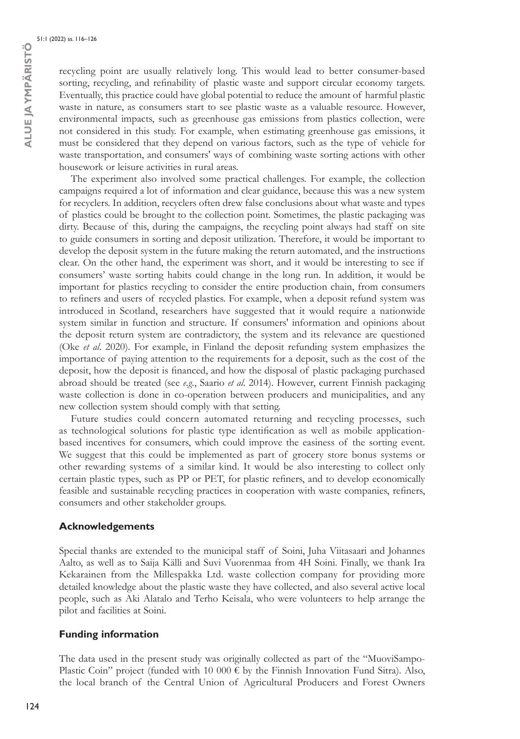recycling point are usually relatively long. This would lead to better consumer-based sorting, recycling, and refinability of plastic waste and support circular economy targets. Eventually, this practice could have global potential to reduce the amount of harmful plastic waste in nature, as consumers start to see plastic waste as a valuable resource. However, environmental impacts, such as greenhouse gas emissions from plastics collection, were not considered in this study. For example, when estimating greenhouse gas emissions, it must be considered that they depend on various factors, such as the type of vehicle for waste transportation, and consumers' ways of combining waste sorting actions with other housework or leisure activities in rural areas.

The experiment also involved some practical challenges. For example, the collection campaigns required a lot of information and clear guidance, because this was a new system for recyclers. In addition, recyclers often drew false conclusions about what waste and types of plastics could be brought to the collection point. Sometimes, the plastic packaging was dirty. Because of this, during the campaigns, the recycling point always had staff on site to guide consumers in sorting and deposit utilization. Therefore, it would be important to develop the deposit system in the future making the return automated, and the instructions clear. On the other hand, the experiment was short, and it would be interesting to see if consumers' waste sorting habits could change in the long run. In addition, it would be important for plastics recycling to consider the entire production chain, from consumers to refiners and users of recycled plastics. For example, when a deposit refund system was introduced in Scotland, researchers have suggested that it would require a nationwide system similar in function and structure. If consumers' information and opinions about the deposit return system are contradictory, the system and its relevance are questioned (Oke *et al*. 2020). For example, in Finland the deposit refunding system emphasizes the importance of paying attention to the requirements for a deposit, such as the cost of the deposit, how the deposit is financed, and how the disposal of plastic packaging purchased abroad should be treated (see *e.g.*, Saario *et al*. 2014). However, current Finnish packaging waste collection is done in co-operation between producers and municipalities, and any new collection system should comply with that setting.

Future studies could concern automated returning and recycling processes, such as technological solutions for plastic type identification as well as mobile applicationbased incentives for consumers, which could improve the easiness of the sorting event. We suggest that this could be implemented as part of grocery store bonus systems or other rewarding systems of a similar kind. It would be also interesting to collect only certain plastic types, such as PP or PET, for plastic refiners, and to develop economically feasible and sustainable recycling practices in cooperation with waste companies, refiners, consumers and other stakeholder groups.

### **Acknowledgements**

Special thanks are extended to the municipal staff of Soini, Juha Viitasaari and Johannes Aalto, as well as to Saija Källi and Suvi Vuorenmaa from 4H Soini. Finally, we thank Ira Kekarainen from the Millespakka Ltd. waste collection company for providing more detailed knowledge about the plastic waste they have collected, and also several active local people, such as Aki Alatalo and Terho Keisala, who were volunteers to help arrange the pilot and facilities at Soini.

# **Funding information**

The data used in the present study was originally collected as part of the "MuoviSampo-Plastic Coin" project (funded with 10 000  $\epsilon$  by the Finnish Innovation Fund Sitra). Also, the local branch of the Central Union of Agricultural Producers and Forest Owners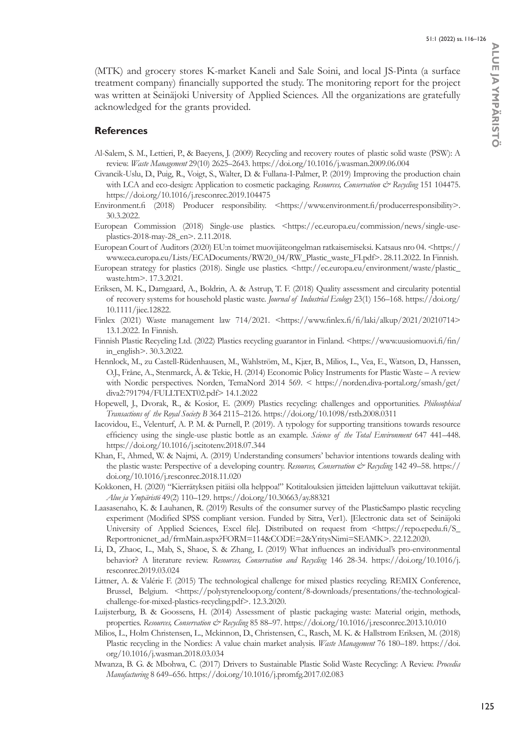(MTK) and grocery stores K-market Kaneli and Sale Soini, and local JS-Pinta (a surface treatment company) financially supported the study. The monitoring report for the project was written at Seinäjoki University of Applied Sciences. All the organizations are gratefully acknowledged for the grants provided.

### **References**

- Al-Salem, S. M., Lettieri, P., & Baeyens, J. (2009) Recycling and recovery routes of plastic solid waste (PSW): A review. *Waste Management* 29(10) 2625–2643.<https://doi.org/10.1016/j.wasman.2009.06.004>
- Civancik-Uslu, D., Puig, R., Voigt, S., Walter, D. & Fullana-I-Palmer, P. (2019) Improving the production chain with LCA and eco-design: Application to cosmetic packaging. *Resources, Conservation & Recycling* 151 104475. <https://doi.org/10.1016/j.resconrec.2019.104475>
- [Environment.fi](http://Environment.fi) (2018) Producer responsibility. <<https://www.environment.fi/producerresponsibility>>. 30.3.2022.
- European Commission (2018) Single-use plastics. [<https://ec.europa.eu/commission/news/single-use](https://ec.europa.eu/commission/news/single-use-plastics-2018-may-28_en)[plastics-2018-may-28\\_en](https://ec.europa.eu/commission/news/single-use-plastics-2018-may-28_en)>. 2.11.2018.
- European Court of Auditors (2020) EU:n toimet muovijäteongelman ratkaisemiseksi. Katsaus nro 04. [<https://](https://www.eca.europa.eu/Lists/ECADocuments/RW20_04/RW_Plastic_waste_FI.pdf) [www.eca.europa.eu/Lists/ECADocuments/RW20\\_04/RW\\_Plastic\\_waste\\_FI.pdf](https://www.eca.europa.eu/Lists/ECADocuments/RW20_04/RW_Plastic_waste_FI.pdf)>. 28.11.2022. In Finnish.
- European strategy for plastics (2018). Single use plastics. [<http://ec.europa.eu/environment/waste/plastic\\_](http://ec.europa.eu/environment/waste/plastic_waste.htm) [waste.htm](http://ec.europa.eu/environment/waste/plastic_waste.htm)>. 17.3.2021.
- Eriksen, M. K., Damgaard, A., Boldrin, A. & Astrup, T. F. (2018) Quality assessment and circularity potential of recovery systems for household plastic waste. *Journal of Industrial Ecology* 23(1) 156–168.<https://doi.org/> 10.1111/jiec.12822.
- Finlex (2021) Waste management law 714/2021. <<https://www.finlex.fi/fi/laki/alkup/2021/20210714>> 13.1.2022. In Finnish.
- Finnish Plastic Recycling Ltd. (2022) Plastics recycling guarantor in Finland. <[https://www.uusiomuovi.fi/fin/](https://www.uusiomuovi.fi/fin/in_english) [in\\_english](https://www.uusiomuovi.fi/fin/in_english)>. 30.3.2022.
- Hennlock, M., zu Castell-Rüdenhausen, M., Wahlström, M., Kjær, B., Milios, L., Vea, E., Watson, D., Hanssen, O.J., Fråne, A., Stenmarck, Å. & Tekie, H. (2014) Economic Policy Instruments for Plastic Waste – A review with Nordic perspectives. Norden, TemaNord 2014 569. < [https://norden.diva-portal.org/smash/get/](https://norden.diva-portal.org/smash/get/diva2) [diva2:](https://norden.diva-portal.org/smash/get/diva2)791794/FULLTEXT02.pdf> 14.1.2022
- Hopewell, J., Dvorak, R., & Kosior, E. (2009) Plastics recycling: challenges and opportunities. *Philosophical Transactions of the Royal Society B* 364 2115–2126.<https://doi.org/10.1098/rstb.2008.0311>
- Iacovidou, E., Velenturf, A. P. M. & Purnell, P. (2019). A typology for supporting transitions towards resource efficiency using the single-use plastic bottle as an example. *Science of the Total Environment* 647 441–448. <https://doi.org/10.1016/j.scitotenv.2018.07.344>
- Khan, F., Ahmed, W. & Najmi, A. (2019) Understanding consumers' behavior intentions towards dealing with the plastic waste: Perspective of a developing country. *Resources, Conservation & Recycling* 142 49–58. [https://](https://doi.org/10.1016/j.resconrec.2018.11.020) [doi.org/10.1016/j.resconrec.2018.11.020](https://doi.org/10.1016/j.resconrec.2018.11.020)
- Kokkonen, H. (2020) "Kierrätyksen pitäisi olla helppoa!" Kotitalouksien jätteiden lajitteluun vaikuttavat tekijät. *Alue ja Ympäristö* 49(2) 110–129.<https://doi.org/10.30663/ay.88321>
- Laasasenaho, K. & Lauhanen, R. (2019) Results of the consumer survey of the PlasticSampo plastic recycling experiment (Modified SPSS compliant version. Funded by Sitra, Ver1). [Electronic data set of Seinäjoki University of Applied Sciences, Excel file]. Distributed on request from  $\langle \text{https://repo.epedu.fa/S_n} \rangle$ [Reportronicnet\\_ad/frmMain.aspx?FORM=114&CODE=2&YritysNimi=SEAMK](https://repo.epedu.fi/S_Reportronicnet_ad/frmMain.aspx?FORM=114&CODE=2&YritysNimi=SEAMK)>. 22.12.2020.
- Li, D., Zhaoc, L., Mab, S., Shaoe, S. & Zhang, L (2019) What influences an individual's pro-environmental behavior? A literature review. *Resources, Conservation and Recycling* 146 28-34. [https://doi.org/10.1016/j.](https://doi.org/10.1016/j.resconrec.2019.03.024) [resconrec.2019.03.024](https://doi.org/10.1016/j.resconrec.2019.03.024)
- Littner, A. & Valérie F. (2015) The technological challenge for mixed plastics recycling. REMIX Conference, Brussel, Belgium. [<https://polystyreneloop.org/content/8-downloads/presentations/the-technological](https://polystyreneloop.org/content/8-downloads/presentations/the-technological-challenge-for-mixed-plastics-recycling.pdf)[challenge-for-mixed-plastics-recycling.pdf](https://polystyreneloop.org/content/8-downloads/presentations/the-technological-challenge-for-mixed-plastics-recycling.pdf)>. 12.3.2020.
- Luijsterburg, B. & Goossens, H. (2014) Assessment of plastic packaging waste: Material origin, methods, properties. *Resources, Conservation & Recycling* 85 88–97.<https://doi.org/10.1016/j.resconrec.2013.10.010>
- Milios, L., Holm Christensen, L., Mckinnon, D., Christensen, C., Rasch, M. K. & Hallstrøm Eriksen, M. (2018) Plastic recycling in the Nordics: A value chain market analysis. *Waste Management* 76 180–189. [https://doi.](https://doi.org/10.1016/j.wasman.2018.03.034) [org/10.1016/j.wasman.2018.03.034](https://doi.org/10.1016/j.wasman.2018.03.034)
- Mwanza, B. G. & Mbohwa, C. (2017) Drivers to Sustainable Plastic Solid Waste Recycling: A Review. *Procedia Manufacturing* 8 649–656.<https://doi.org/10.1016/j.promfg.2017.02.083>